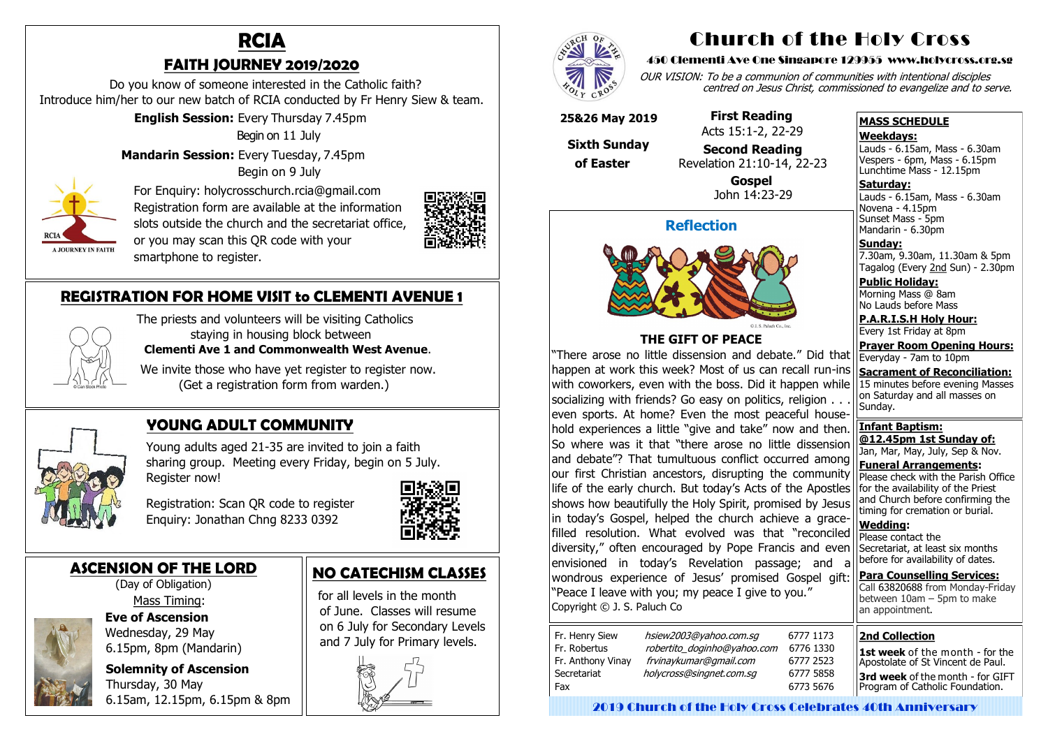### **ASCENSION OF THE LORD** (Day of Obligation)



 Mass Timing:  **Eve of Ascension** Wednesday, 29 May

 6.15pm, 8pm (Mandarin) **Solemnity of Ascension** Thursday, 30 May

6.15am, 12.15pm, 6.15pm & 8pm

# **RCIA FAITH JOURNEY 2019/2020**

 Do you know of someone interested in the Catholic faith? Introduce him/her to our new batch of RCIA conducted by Fr Henry Siew & team.

 **English Session:** Every Thursday 7.45pm

Begin on 11 July

**Mandarin Session:** Every Tuesday, 7.45pm

Begin on 9 July



 For Enquiry: holycrosschurch.rcia@gmail.com Registration form are available at the information slots outside the church and the secretariat office, or you may scan this QR code with your smartphone to register.



We invite those who have yet register to register now. (Get a registration form from warden.)



## **YOUNG ADULT COMMUNITY**

 Young adults aged 21-35 are invited to join a faith sharing group. Meeting every Friday, begin on 5 July. Register now!

 Registration: Scan QR code to register Enquiry: Jonathan Chng 8233 0392



**Saturday:** Lauds - 6.15am, Mass - 6.30am Novena - 4.15pm Sunset Mass - 5pm Mandarin - 6.30pm

# **REGISTRATION FOR HOME VISIT to CLEMENTI AVENUE 1**



 The priests and volunteers will be visiting Catholics staying in housing block between **Clementi Ave 1 and Commonwealth West Avenue**.

# **NO CATECHISM CLASSES**

 for all levels in the month of June. Classes will resume on 6 July for Secondary Levels and 7 July for Primary levels.



**Para Counselling Services:** Call [63820688](tel:+6563820688) from Monday-Friday between  $10$ am – 5pm to make an appointment.

# Church of the Holy Cross

#### 450 Clementi Ave One Singapore 129955 www.holycross.org.sg

OUR VISION: To be a communion of communities with intentional disciples centred on Jesus Christ, commissioned to evangelize and to serve.

#### **MASS SCHEDULE**

#### **Weekdays:**

Lauds - 6.15am, Mass - 6.30am Vespers - 6pm, Mass - 6.15pm Lunchtime Mass - 12.15pm

**Sunday:** 7.30am, 9.30am, 11.30am & 5pm Tagalog (Every 2nd Sun) - 2.30pm

**Public Holiday:**  Morning Mass @ 8am No Lauds before Mass

**P.A.R.I.S.H Holy Hour:** Every 1st Friday at 8pm

**Prayer Room Opening Hours:** Everyday - 7am to 10pm

**Sacrament of Reconciliation:** 15 minutes before evening Masses on Saturday and all masses on Sunday.

**Infant Baptism: @12.45pm 1st Sunday of:** Jan, Mar, May, July, Sep & Nov. **Funeral Arrangements:** 

Please check with the Parish Office for the availability of the Priest and Church before confirming the timing for cremation or burial.

**Wedding:**  Please contact the Secretariat, at least six months before for availability of dates.

### **Reflection**



### **THE GIFT OF PEACE**

"There arose no little dissension and debate." Did that happen at work this week? Most of us can recall run-ins with coworkers, even with the boss. Did it happen while socializing with friends? Go easy on politics, religion . . . even sports. At home? Even the most peaceful household experiences a little "give and take" now and then. So where was it that "there arose no little dissension and debate"? That tumultuous conflict occurred among our first Christian ancestors, disrupting the community life of the early church. But today's Acts of the Apostles shows how beautifully the Holy Spirit, promised by Jesus in today's Gospel, helped the church achieve a gracefilled resolution. What evolved was that "reconciled diversity," often encouraged by Pope Francis and even envisioned in today's Revelation passage; and a wondrous experience of Jesus' promised Gospel gift: "Peace I leave with you; my peace I give to you." Copyright © J. S. Paluch Co

| Fr. Henry Siew<br>Fr. Robertus<br>Fr. Anthony Vinay | hsiew2003@yahoo.com.sq<br>robertito_doginho@yahoo.com<br>frvinaykumar@gmail.com |  |
|-----------------------------------------------------|---------------------------------------------------------------------------------|--|
| Secretariat<br>Fax                                  | holycross@singnet.com.sq                                                        |  |
|                                                     |                                                                                 |  |

### **25&26 May 2019**

 **Sixth Sunday of Easter** 

 **First Reading** Acts 15:1-2, 22-29

 **Second Reading** Revelation 21:10-14, 22-23

> **Gospel** John 14:23-29

#### **2nd Collection**

**1st week** of the month - for the Apostolate of St Vincent de Paul. **3rd week** of the month - for GIFT Program of Catholic Foundation.

2019 Church of the Holy Cross Celebrates 40th Anniversary